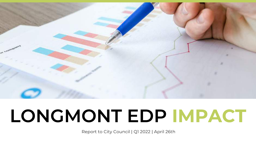

# LONGMONT EDP IMPACT

Report to City Council | Q1 2022 | April 26th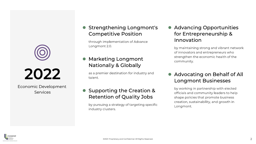

2022

Economic Development **Services** 

#### Strengthening Longmont's **Competitive Position**

through implementation of Advance Longmont 2.0.

**Marketing Longmont Nationally & Globally** 

as a premier destination for industry and talent.

#### Supporting the Creation & **Retention of Quality Jobs**

by pursuing a strategy of targeting specific industry clusters.

• Advancing Opportunities for Entrepreneurship & Innovation

by maintaining strong and vibrant network of innovators and entrepreneurs who strengthen the economic health of the community.

#### **Advocating on Behalf of All Longmont Businesses**

by working in partnership with elected officials and community leaders to help shape policies that promote business creation, sustainability, and growth in Longmont.

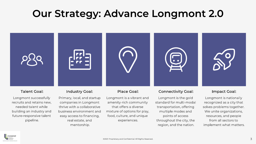### **Our Strategy: Advance Longmont 2.0**

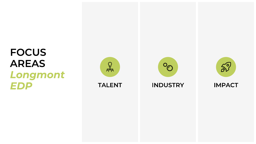### **FOCUS AREAS** Longmont EDP



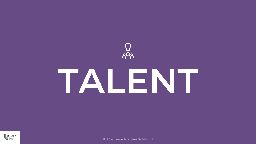

# TALENT



©2021 Proprietary and Confidential. All Rights Reserved.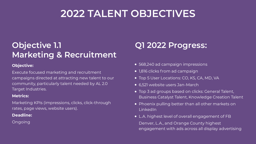### **Objective 1.1 Marketing & Recruitment**

#### **Objective:**

Execute focused marketing and recruitment campaigns directed at attracting new talent to our community, particularly talent needed by AL 2.0 Target Industries.

#### **Metrics:**

Marketing KPIs (impressions, clicks, click-through rates, page views, website users).

#### **Deadline:**

Ongoing

- 568,240 ad campaign impressions
- 1,816 clicks from ad campaign
- Top 5 User Locations: CO, KS, CA, MD, VA
- 6,521 website users Jan-March
- Top 3 ad groups based on clicks: General Talent, Business Catalyst Talent, Knowledge Creation Talent
- Phoenix pulling better than all other markets on LinkedIn
- L.A. highest level of overall engagement of FB Denver, L.A., and Orange County highest engagement with ads across all display advertising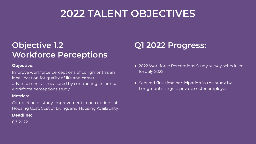### **Objective 1.2 Workforce Perceptions**

#### **Objective:**

Improve workforce perceptions of Longmont as an ideal location for quality of life and career advancement as measured by conducting an annual workforce perceptions study.

#### **Metrics:**

Completion of study, improvement in perceptions of Housing Cost, Cost of Living, and Housing Availability.

#### **Deadline:**

Q3 2022

- 2022 Workforce Perceptions Study survey scheduled for July 2022
- Secured first time participation in the study by Longmont's largest private sector employer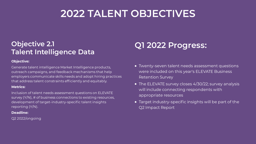### **Objective 2.1 Talent Intelligence Data**

#### **Objective:**

Generate talent intelligence Market Intelligence products, outreach campaigns, and feedback mechanisms that help employers communicate skills needs and adopt hiring practices that address talent constraints efficiently and equitably.

#### **Metrics:**

Inclusion of talent needs assessment questions on ELEVATE survey (Y/N), # of business connections to existing resources, development of target-industry-specific talent insights reporting (Y/N).

#### **Deadline:**

Q2 2022/ongoing

- Twenty-seven talent needs assessment questions were included on this year's ELEVATE Business Retention Survey
- The ELEVATE survey closes 4/30/22; survey analysis will include connecting respondents with appropriate resources
- Target industry-specific insights will be part of the Q2 Impact Report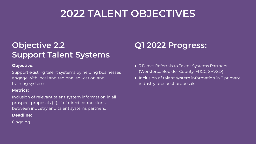### **Objective 2.2 Support Talent Systems**

#### **Objective:**

Support existing talent systems by helping businesses engage with local and regional education and training systems.

#### **Metrics:**

Inclusion of relevant talent system information in all prospect proposals (#), # of direct connections between industry and talent systems partners.

#### **Deadline:**

Ongoing

- 3 Direct Referrals to Talent Systems Partners (Workforce Boulder County, FRCC, SVVSD)
- Inclusion of talent system information in 3 primary industry prospect proposals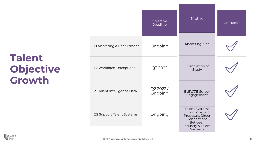## **Talent** Objective<br>Growth

|                              | Objective<br>Deadline | <b>Metric</b>                                                                                                                   | On Track? |
|------------------------------|-----------------------|---------------------------------------------------------------------------------------------------------------------------------|-----------|
| 1.1 Marketing & Recruitment  | Ongoing               | Marketing KPIs                                                                                                                  |           |
| 1.2 Workforce Perceptions    | Q3 2022               | Completion of<br>Study                                                                                                          |           |
| 2.1 Talent Intelligence Data | Q22022/<br>Ongoing    | <b>ELEVATE Survey</b><br>Engagement                                                                                             |           |
| 2.2 Support Talent Systems   | Ongoing               | <b>Talent Systems</b><br>Info in Prospect<br>Proposals, Direct<br>Connections<br><b>Between</b><br>Industry & Talent<br>Systems |           |

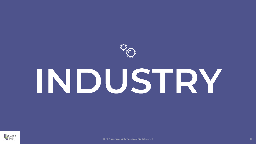

# INDUSTRY



©2021 Proprietary and Confidential. All Rights Reserved.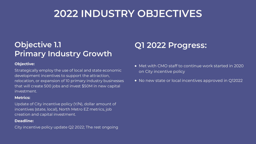### **Objective 1.1 Primary Industry Growth**

#### **Objective:**

Strategically employ the use of local and state economic development incentives to support the attraction, relocation, or expansion of 10 primary industry businesses that will create 500 jobs and invest \$50M in new capital investment.

#### **Metrics:**

Update of City incentive policy (Y/N), dollar amount of incentives (state, local), North Metro EZ metrics, job creation and capital investment.

#### **Deadline:**

City incentive policy update Q2 2022; The rest ongoing

- Met with CMO staff to continue work started in 2020 on City incentive policy
- No new state or local incentives approved in Q12022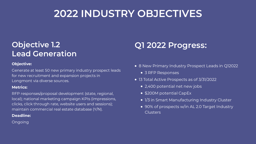### **Objective 1.2 Lead Generation**

#### **Objective:**

Generate at least 50 new primary industry prospect leads for new recruitment and expansion projects in Longmont via diverse sources.

#### **Metrics:**

RFP responses/proposal development (state, regional, local); national marketing campaign KPIs (impressions, clicks, click through rate, website users and sessions); maintain commercial real estate database (Y/N).

#### **Deadline:**

Ongoing

- 8 New Primary Industry Prospect Leads in Q12022
	- 3 RFP Responses
- 13 Total Active Prospects as of 3/31/2022
	- 2,400 potential net new jobs
	- \$200M potential CapEx
	- 1/3 in Smart Manufacturing Industry Cluster
	- 90% of prospects w/in AL 2.0 Target Industry **Clusters**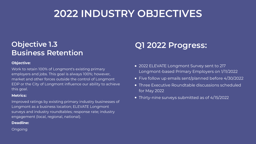### **Objective 1.3 Business Retention**

#### **Objective:**

Work to retain 100% of Longmont's existing primary employers and jobs. This goal is always 100%; however, market and other forces outside the control of Longmont EDP or the City of Longmont influence our ability to achieve this goal.

#### **Metrics:**

Improved ratings by existing primary industry businesses of Longmont as a business location; ELEVATE Longmont surveys and industry roundtables; response rate; industry engagement (local, regional, national).

#### **Deadline:**

Ongoing

- 2022 ELEVATE Longmont Survey sent to 217 Longmont-based Primary Employers on 1/11/2022
- Five follow up emails sent/planned before 4/30/2022
- Three Executive Roundtable discussions scheduled for May 2022
- Thirty-nine surveys submitted as of 4/15/2022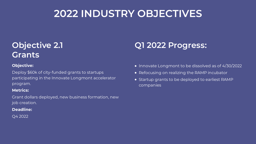### **Objective 2.1 Grants**

#### **Objective:**

Deploy \$60k of city-funded grants to startups participating in the Innovate Longmont accelerator program.

#### **Metrics:**

Grant dollars deployed, new business formation, new job creation.

#### **Deadline:**

Q4 2022

- Innovate Longmont to be dissolved as of 4/30/2022
- Refocusing on realizing the RAMP incubator
- Startup grants to be deployed to earliest RAMP companies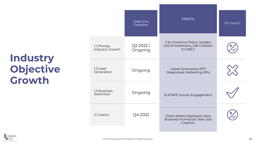## **Industry<br>Objective** Growth

|                                | Objective<br>Deadline | <b>Metric</b>                                                                  | On Track? |
|--------------------------------|-----------------------|--------------------------------------------------------------------------------|-----------|
| 1.1 Primary<br>Industry Growth | Q22022/<br>Ongoing    | City Incentive Policy Update,<br>Use of Incentives, Job Creation<br>& CapEx    |           |
| 1.2 Lead<br>Generation         | Ongoing               | Leads Generated, RFP<br>Responses, Marketing KPIs                              |           |
| 1.3 Business<br>Retention      | Ongoing               | <b>ELEVATE Survey Engagement</b>                                               |           |
| 2.1 Grants                     | Q4 2022               | Grant dollars Deployed, New<br><b>Business Formation, New Job</b><br>Creation. |           |

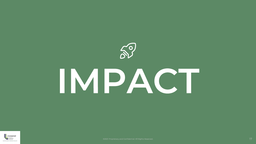

# IMPACT

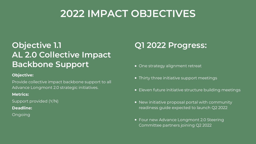### **2022 IMPACT OBJECTIVES**

### **Objective 1.1 AL 2.0 Collective Impact Backbone Support**

#### **Objective:**

Provide collective impact backbone support to all Advance Longmont 2.0 strategic initiatives.

#### **Metrics:**

Support provided (Y/N)

#### **Deadline:**

Ongoing

- One strategy alignment retreat
- Thirty three initiative support meetings
- **Eleven future initiative structure building meetings**
- New initiative proposal portal with community readiness guide expected to launch Q2 2022
- Four new Advance Longmont 2.0 Steering Committee partners joining Q2 2022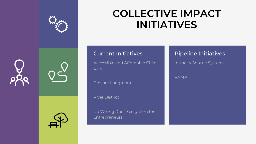

### **COLLECTIVE IMPACT INITIATIVES**







#### **Current Initiatives**

Accessible and Affordable Child Care

Prosper Longmont

**River District** 

No Wrong Door Ecosystem for **Entrepreneurs** 

#### **Pipeline Initiatives**

Intracity Shuttle System

**RAMP**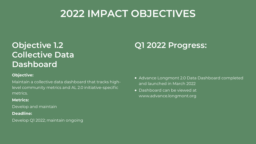### **2022 IMPACT OBJECTIVES**

### **Objective 1.2 Collective Data Dashboard**

#### **Objective:**

Maintain a collective data dashboard that tracks highlevel community metrics and AL 2.0 initiative-specific metrics.

#### **Metrics:**

Develop and maintain

#### **Deadline:**

Develop Q1 2022; maintain ongoing

- Advance Longmont 2.0 Data Dashboard completed and launched in March 2022
- Dashboard can be viewed at www.advance.longmont.org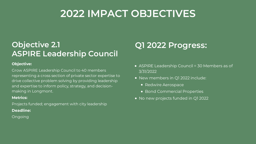### **2022 IMPACT OBJECTIVES**

### **Objective 2.1 ASPIRE Leadership Council**

#### **Objective:**

Grow ASPIRE Leadership Council to 40 members representing a cross section of private sector expertise to drive collective problem solving by providing leadership and expertise to inform policy, strategy, and decisionmaking in Longmont.

#### **Metrics:**

Projects funded; engagement with city leadership **Deadline:**

#### Ongoing

- ASPIRE Leadership Council = 30 Members as of 3/31/2022
- New members in Q1 2022 include:
	- Redwire Aerospace
	- Bond Commercial Properties
- No new projects funded in Q1 2022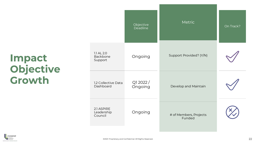## Impact<br>Objective Growth

|                                     | Objective<br><b>Deadline</b> | Metric                           | On Track? |
|-------------------------------------|------------------------------|----------------------------------|-----------|
| 1.1 AL 2.0<br>Backbone<br>Support   | Ongoing                      | Support Provided? (Y/N)          |           |
| 1.2 Collective Data<br>Dashboard    | Q12022/<br>Ongoing           | Develop and Maintain             |           |
| 2.1 ASPIRE<br>Leadership<br>Council | Ongoing                      | # of Members, Projects<br>Funded |           |

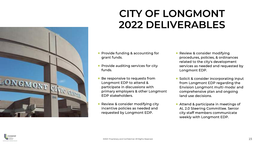

### **CITY OF LONGMONT 2022 DELIVERABLES**

- Provide funding & accounting for grant funds.
- Provide auditing services for city funds.
- Be responsive to requests from Longmont EDP to attend & participate in discussions with primary employers & other Longmont EDP stakeholders.
- Review & consider modifying city  $\bullet$ incentive policies as needed and requested by Longmont EDP.
- Review & consider modifying procedures, policies, & ordinances related to the city's development services as needed and requested by Longmont EDP.
- Solicit & consider incorporating input from Longmont EDP regarding the Envision Longmont multi-modal and comprehensive plan and ongoing land use decisions.
- Attend & participate in meetings of AL 2.0 Steering Committee. Senior city staff members communicate weekly with Longmont EDP.

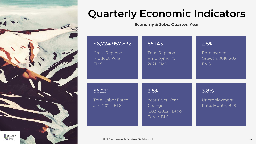

### **Quarterly Economic Indicators**

**Economy & Jobs, Quarter, Year** 

| \$6,724,957,832                                       | 55,143                                                               | 2.5%                                     |
|-------------------------------------------------------|----------------------------------------------------------------------|------------------------------------------|
| <b>Gross Regional</b>                                 | <b>Total Regional</b>                                                | Employment                               |
| Product, Year,                                        | Employment,                                                          | Growth, 2016-2021,                       |
| <b>EMSI</b>                                           | <b>2021, EMSI</b>                                                    | <b>EMSI</b>                              |
| 56,231<br><b>Total Labor Force,</b><br>Jan. 2022, BLS | 3.5%<br>Year-Over-Year<br>Change<br>(2021-2022), Labor<br>Force, BLS | 3.8%<br>Unemployment<br>Rate, Month, BLS |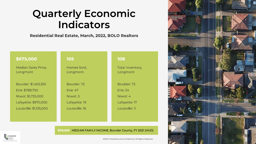### **Quarterly Economic Indicators**

#### **Residential Real Estate, March, 2022, BOLO Realtors**

#### \$675,000 105 **Median Sales Price,** Homes Sold, Longmont Longmont Boulder: \$1,453,355 Boulder: 72 Erie: \$789,750 Frie: 47 Niwot: \$1,725,000 Niwot: 3 Lafayette: \$970,000 Lafayette: 19 Louisville: \$1,135,000 Louisville: 16

#### **108**

Total Inventory, Longmont

Boulder: 72

**Erie: 24** 

Niwot: 4

Lafayette: 17

Louisville: 11